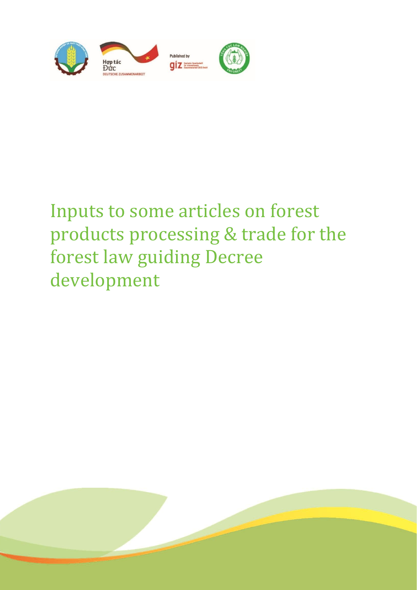

# Inputs to some articles on forest products processing & trade for the forest law guiding Decree development

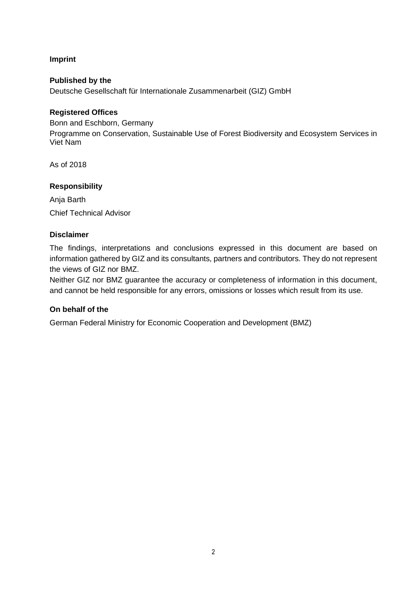**Imprint**

**Published by the** Deutsche Gesellschaft für Internationale Zusammenarbeit (GIZ) GmbH

### **Registered Offices**

Bonn and Eschborn, Germany Programme on Conservation, Sustainable Use of Forest Biodiversity and Ecosystem Services in Viet Nam

As of 2018

### **Responsibility**

Anja Barth Chief Technical Advisor

### **Disclaimer**

The findings, interpretations and conclusions expressed in this document are based on information gathered by GIZ and its consultants, partners and contributors. They do not represent the views of GIZ nor BMZ.

Neither GIZ nor BMZ guarantee the accuracy or completeness of information in this document, and cannot be held responsible for any errors, omissions or losses which result from its use.

### **On behalf of the**

German Federal Ministry for Economic Cooperation and Development (BMZ)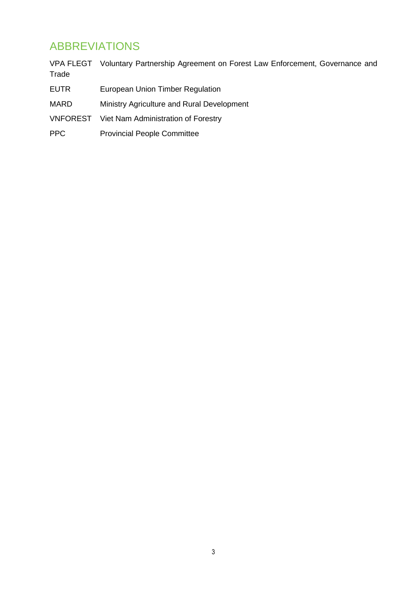### ABBREVIATIONS

|             | VPA FLEGT Voluntary Partnership Agreement on Forest Law Enforcement, Governance and |
|-------------|-------------------------------------------------------------------------------------|
| Trade       |                                                                                     |
| <b>EUTR</b> | European Union Timber Regulation                                                    |

- MARD Ministry Agriculture and Rural Development
- VNFOREST Viet Nam Administration of Forestry
- PPC Provincial People Committee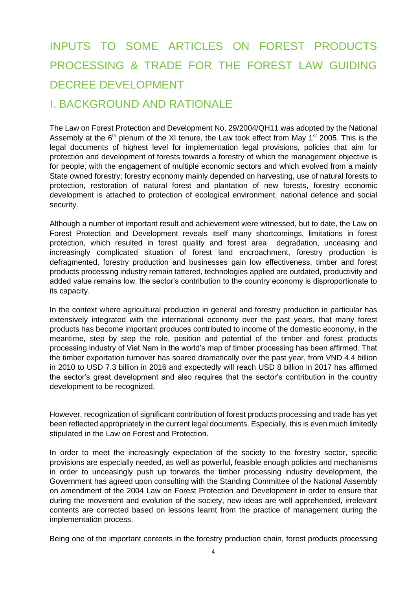## INPUTS TO SOME ARTICLES ON FOREST PRODUCTS PROCESSING & TRADE FOR THE FOREST LAW GUIDING DECREE DEVELOPMENT

### I. BACKGROUND AND RATIONALE

The Law on Forest Protection and Development No. 29/2004/QH11 was adopted by the National Assembly at the  $6<sup>th</sup>$  plenum of the XI tenure, the Law took effect from May 1<sup>st</sup> 2005. This is the legal documents of highest level for implementation legal provisions, policies that aim for protection and development of forests towards a forestry of which the management objective is for people, with the engagement of multiple economic sectors and which evolved from a mainly State owned forestry; forestry economy mainly depended on harvesting, use of natural forests to protection, restoration of natural forest and plantation of new forests, forestry economic development is attached to protection of ecological environment, national defence and social security.

Although a number of important result and achievement were witnessed, but to date, the Law on Forest Protection and Development reveals itself many shortcomings, limitations in forest protection, which resulted in forest quality and forest area degradation, unceasing and increasingly complicated situation of forest land encroachment, forestry production is defragmented, forestry production and businesses gain low effectiveness, timber and forest products processing industry remain tattered, technologies applied are outdated, productivity and added value remains low, the sector's contribution to the country economy is disproportionate to its capacity.

In the context where agricultural production in general and forestry production in particular has extensively integrated with the international economy over the past years, that many forest products has become important produces contributed to income of the domestic economy, in the meantime, step by step the role, position and potential of the timber and forest products processing industry of Viet Nam in the world's map of timber processing has been affirmed. That the timber exportation turnover has soared dramatically over the past year, from VND 4.4 billion in 2010 to USD 7.3 billion in 2016 and expectedly will reach USD 8 billion in 2017 has affirmed the sector's great development and also requires that the sector's contribution in the country development to be recognized.

However, recognization of significant contribution of forest products processing and trade has yet been reflected appropriately in the current legal documents. Especially, this is even much limitedly stipulated in the Law on Forest and Protection.

In order to meet the increasingly expectation of the society to the forestry sector, specific provisions are especially needed, as well as powerful, feasible enough policies and mechanisms in order to unceasingly push up forwards the timber processing industry development, the Government has agreed upon consulting with the Standing Committee of the National Assembly on amendment of the 2004 Law on Forest Protection and Development in order to ensure that during the movement and evolution of the society, new ideas are well apprehended, irrelevant contents are corrected based on lessons learnt from the practice of management during the implementation process.

Being one of the important contents in the forestry production chain, forest products processing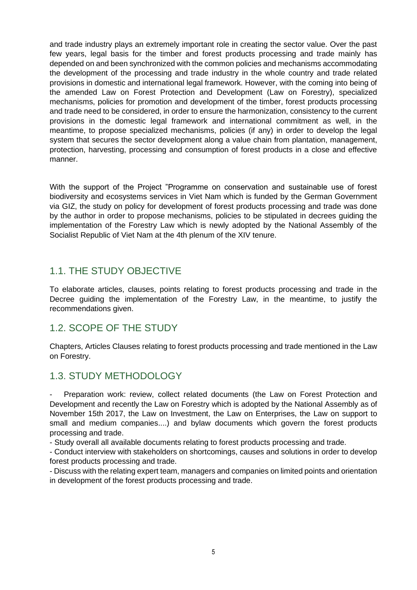and trade industry plays an extremely important role in creating the sector value. Over the past few years, legal basis for the timber and forest products processing and trade mainly has depended on and been synchronized with the common policies and mechanisms accommodating the development of the processing and trade industry in the whole country and trade related provisions in domestic and international legal framework. However, with the coming into being of the amended Law on Forest Protection and Development (Law on Forestry), specialized mechanisms, policies for promotion and development of the timber, forest products processing and trade need to be considered, in order to ensure the harmonization, consistency to the current provisions in the domestic legal framework and international commitment as well, in the meantime, to propose specialized mechanisms, policies (if any) in order to develop the legal system that secures the sector development along a value chain from plantation, management, protection, harvesting, processing and consumption of forest products in a close and effective manner.

With the support of the Project "Programme on conservation and sustainable use of forest biodiversity and ecosystems services in Viet Nam which is funded by the German Government via GIZ, the study on policy for development of forest products processing and trade was done by the author in order to propose mechanisms, policies to be stipulated in decrees guiding the implementation of the Forestry Law which is newly adopted by the National Assembly of the Socialist Republic of Viet Nam at the 4th plenum of the XIV tenure.

### 1.1. THE STUDY OBJECTIVE

To elaborate articles, clauses, points relating to forest products processing and trade in the Decree guiding the implementation of the Forestry Law, in the meantime, to justify the recommendations given.

### 1.2. SCOPE OF THE STUDY

Chapters, Articles Clauses relating to forest products processing and trade mentioned in the Law on Forestry.

### 1.3. STUDY METHODOLOGY

Preparation work: review, collect related documents (the Law on Forest Protection and Development and recently the Law on Forestry which is adopted by the National Assembly as of November 15th 2017, the Law on Investment, the Law on Enterprises, the Law on support to small and medium companies....) and bylaw documents which govern the forest products processing and trade.

- Study overall all available documents relating to forest products processing and trade.

- Conduct interview with stakeholders on shortcomings, causes and solutions in order to develop forest products processing and trade.

- Discuss with the relating expert team, managers and companies on limited points and orientation in development of the forest products processing and trade.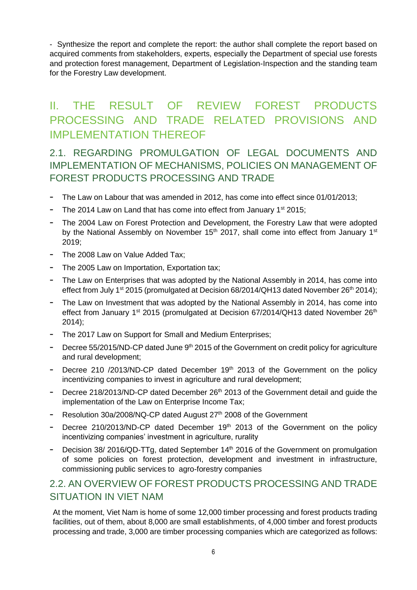- Synthesize the report and complete the report: the author shall complete the report based on acquired comments from stakeholders, experts, especially the Department of special use forests and protection forest management, Department of Legislation-Inspection and the standing team for the Forestry Law development.

### II. THE RESULT OF REVIEW FOREST PRODUCTS PROCESSING AND TRADE RELATED PROVISIONS AND IMPLEMENTATION THEREOF

2.1. REGARDING PROMULGATION OF LEGAL DOCUMENTS AND IMPLEMENTATION OF MECHANISMS, POLICIES ON MANAGEMENT OF FOREST PRODUCTS PROCESSING AND TRADE

- The Law on Labour that was amended in 2012, has come into effect since 01/01/2013;
- The 2014 Law on Land that has come into effect from January 1<sup>st</sup> 2015;
- The 2004 Law on Forest Protection and Development, the Forestry Law that were adopted by the National Assembly on November 15<sup>th</sup> 2017, shall come into effect from January 1<sup>st</sup> 2019;
- The 2008 Law on Value Added Tax;
- The 2005 Law on Importation, Exportation tax;
- The Law on Enterprises that was adopted by the National Assembly in 2014, has come into effect from July 1<sup>st</sup> 2015 (promulgated at Decision 68/2014/QH13 dated November 26<sup>th</sup> 2014);
- The Law on Investment that was adopted by the National Assembly in 2014, has come into effect from January 1<sup>st</sup> 2015 (promulgated at Decision 67/2014/QH13 dated November 26<sup>th</sup> 2014);
- The 2017 Law on Support for Small and Medium Enterprises;
- Decree 55/2015/ND-CP dated June 9<sup>th</sup> 2015 of the Government on credit policy for agriculture and rural development;
- Decree 210 /2013/ND-CP dated December 19<sup>th</sup> 2013 of the Government on the policy incentivizing companies to invest in agriculture and rural development;
- Decree 218/2013/ND-CP dated December 26<sup>th</sup> 2013 of the Government detail and guide the implementation of the Law on Enterprise Income Tax;
- Resolution 30a/2008/NQ-CP dated August 27<sup>th</sup> 2008 of the Government
- Decree 210/2013/ND-CP dated December 19<sup>th</sup> 2013 of the Government on the policy incentivizing companies' investment in agriculture, rurality
- Decision 38/ 2016/QD-TTg, dated September 14<sup>th</sup> 2016 of the Government on promulgation of some policies on forest protection, development and investment in infrastructure, commissioning public services to agro-forestry companies

### 2.2. AN OVERVIEW OF FOREST PRODUCTS PROCESSING AND TRADE SITUATION IN VIET NAM

At the moment, Viet Nam is home of some 12,000 timber processing and forest products trading facilities, out of them, about 8,000 are small establishments, of 4,000 timber and forest products processing and trade, 3,000 are timber processing companies which are categorized as follows: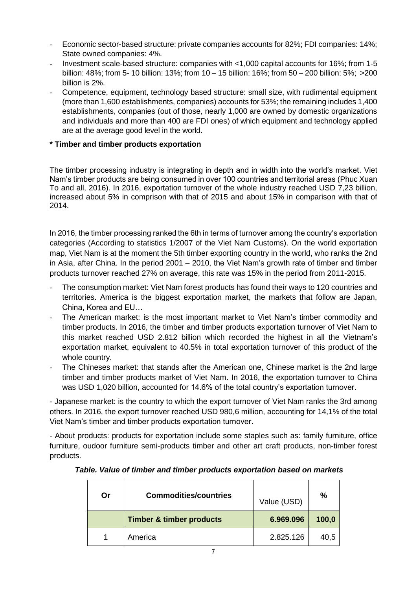- Economic sector-based structure: private companies accounts for 82%; FDI companies: 14%; State owned companies: 4%.
- Investment scale-based structure: companies with <1,000 capital accounts for 16%; from 1-5 billion: 48%; from 5- 10 billion: 13%; from 10 – 15 billion: 16%; from 50 – 200 billion: 5%; >200 billion is 2%.
- Competence, equipment, technology based structure: small size, with rudimental equipment (more than 1,600 establishments, companies) accounts for 53%; the remaining includes 1,400 establishments, companies (out of those, nearly 1,000 are owned by domestic organizations and individuals and more than 400 are FDI ones) of which equipment and technology applied are at the average good level in the world.

### **\* Timber and timber products exportation**

The timber processing industry is integrating in depth and in width into the world's market. Viet Nam's timber products are being consumed in over 100 countries and territorial areas (Phuc Xuan To and all, 2016). In 2016, exportation turnover of the whole industry reached USD 7,23 billion, increased about 5% in comprison with that of 2015 and about 15% in comparison with that of 2014.

In 2016, the timber processing ranked the 6th in terms of turnover among the country's exportation categories (According to statistics 1/2007 of the Viet Nam Customs). On the world exportation map, Viet Nam is at the moment the 5th timber exporting country in the world, who ranks the 2nd in Asia, after China. In the period 2001 – 2010, the Viet Nam's growth rate of timber and timber products turnover reached 27% on average, this rate was 15% in the period from 2011-2015.

- The consumption market: Viet Nam forest products has found their ways to 120 countries and territories. America is the biggest exportation market, the markets that follow are Japan, China, Korea and EU…
- The American market: is the most important market to Viet Nam's timber commodity and timber products. In 2016, the timber and timber products exportation turnover of Viet Nam to this market reached USD 2.812 billion which recorded the highest in all the Vietnam's exportation market, equivalent to 40.5% in total exportation turnover of this product of the whole country.
- The Chineses market: that stands after the American one, Chinese market is the 2nd large timber and timber products market of Viet Nam. In 2016, the exportation turnover to China was USD 1,020 billion, accounted for 14.6% of the total country's exportation turnover.

- Japanese market: is the country to which the export turnover of Viet Nam ranks the 3rd among others. In 2016, the export turnover reached USD 980,6 million, accounting for 14,1% of the total Viet Nam's timber and timber products exportation turnover.

- About products: products for exportation include some staples such as: family furniture, office furniture, oudoor furniture semi-products timber and other art craft products, non-timber forest products.

| Or | <b>Commodities/countries</b>        | Value (USD) | %     |  |
|----|-------------------------------------|-------------|-------|--|
|    | <b>Timber &amp; timber products</b> | 6.969.096   | 100,0 |  |
|    | America                             | 2.825.126   | 40,5  |  |

#### *Table. Value of timber and timber products exportation based on markets*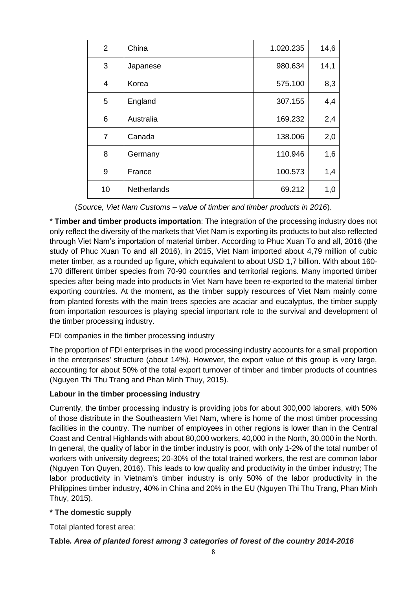| $\overline{2}$ | China       | 1.020.235 | 14,6 |
|----------------|-------------|-----------|------|
| 3              | Japanese    | 980.634   | 14,1 |
| $\overline{4}$ | Korea       | 575.100   | 8,3  |
| 5              | England     | 307.155   | 4,4  |
| 6              | Australia   | 169.232   | 2,4  |
| $\overline{7}$ | Canada      | 138.006   | 2,0  |
| 8              | Germany     | 110.946   | 1,6  |
| 9              | France      | 100.573   | 1,4  |
| 10             | Netherlands | 69.212    | 1,0  |

(*Source, Viet Nam Customs – value of timber and timber products in 2016*).

\* **Timber and timber products importation**: The integration of the processing industry does not only reflect the diversity of the markets that Viet Nam is exporting its products to but also reflected through Viet Nam's importation of material timber. According to Phuc Xuan To and all, 2016 (the study of Phuc Xuan To and all 2016), in 2015, Viet Nam imported about 4,79 million of cubic meter timber, as a rounded up figure, which equivalent to about USD 1,7 billion. With about 160- 170 different timber species from 70-90 countries and territorial regions. Many imported timber species after being made into products in Viet Nam have been re-exported to the material timber exporting countries. At the moment, as the timber supply resources of Viet Nam mainly come from planted forests with the main trees species are acaciar and eucalyptus, the timber supply from importation resources is playing special important role to the survival and development of the timber processing industry.

### FDI companies in the timber processing industry

The proportion of FDI enterprises in the wood processing industry accounts for a small proportion in the enterprises' structure (about 14%). However, the export value of this group is very large, accounting for about 50% of the total export turnover of timber and timber products of countries (Nguyen Thi Thu Trang and Phan Minh Thuy, 2015).

#### **Labour in the timber processing industry**

Currently, the timber processing industry is providing jobs for about 300,000 laborers, with 50% of those distribute in the Southeastern Viet Nam, where is home of the most timber processing facilities in the country. The number of employees in other regions is lower than in the Central Coast and Central Highlands with about 80,000 workers, 40,000 in the North, 30,000 in the North. In general, the quality of labor in the timber industry is poor, with only 1-2% of the total number of workers with university degrees; 20-30% of the total trained workers, the rest are common labor (Nguyen Ton Quyen, 2016). This leads to low quality and productivity in the timber industry; The labor productivity in Vietnam's timber industry is only 50% of the labor productivity in the Philippines timber industry, 40% in China and 20% in the EU (Nguyen Thi Thu Trang, Phan Minh Thuy, 2015).

#### **\* The domestic supply**

Total planted forest area:

#### **Table***. Area of planted forest among 3 categories of forest of the country 2014-2016*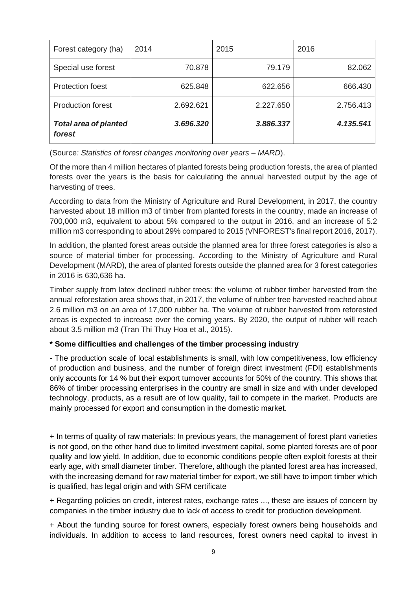| Forest category (ha)                   | 2014      | 2015      | 2016      |
|----------------------------------------|-----------|-----------|-----------|
| Special use forest                     | 70.878    | 79.179    | 82.062    |
| <b>Protection foest</b>                | 625.848   | 622.656   | 666.430   |
| <b>Production forest</b>               | 2.692.621 | 2.227.650 | 2.756.413 |
| <b>Total area of planted</b><br>forest | 3.696.320 | 3.886.337 | 4.135.541 |

(Source*: Statistics of forest changes monitoring over years – MARD*).

Of the more than 4 million hectares of planted forests being production forests, the area of planted forests over the years is the basis for calculating the annual harvested output by the age of harvesting of trees.

According to data from the Ministry of Agriculture and Rural Development, in 2017, the country harvested about 18 million m3 of timber from planted forests in the country, made an increase of 700,000 m3, equivalent to about 5% compared to the output in 2016, and an increase of 5.2 million m3 corresponding to about 29% compared to 2015 (VNFOREST's final report 2016, 2017).

In addition, the planted forest areas outside the planned area for three forest categories is also a source of material timber for processing. According to the Ministry of Agriculture and Rural Development (MARD), the area of planted forests outside the planned area for 3 forest categories in 2016 is 630,636 ha.

Timber supply from latex declined rubber trees: the volume of rubber timber harvested from the annual reforestation area shows that, in 2017, the volume of rubber tree harvested reached about 2.6 million m3 on an area of 17,000 rubber ha. The volume of rubber harvested from reforested areas is expected to increase over the coming years. By 2020, the output of rubber will reach about 3.5 million m3 (Tran Thi Thuy Hoa et al., 2015).

### **\* Some difficulties and challenges of the timber processing industry**

- The production scale of local establishments is small, with low competitiveness, low efficiency of production and business, and the number of foreign direct investment (FDI) establishments only accounts for 14 % but their export turnover accounts for 50% of the country. This shows that 86% of timber processing enterprises in the country are small in size and with under developed technology, products, as a result are of low quality, fail to compete in the market. Products are mainly processed for export and consumption in the domestic market.

+ In terms of quality of raw materials: In previous years, the management of forest plant varieties is not good, on the other hand due to limited investment capital, some planted forests are of poor quality and low yield. In addition, due to economic conditions people often exploit forests at their early age, with small diameter timber. Therefore, although the planted forest area has increased, with the increasing demand for raw material timber for export, we still have to import timber which is qualified, has legal origin and with SFM certificate

+ Regarding policies on credit, interest rates, exchange rates ..., these are issues of concern by companies in the timber industry due to lack of access to credit for production development.

+ About the funding source for forest owners, especially forest owners being households and individuals. In addition to access to land resources, forest owners need capital to invest in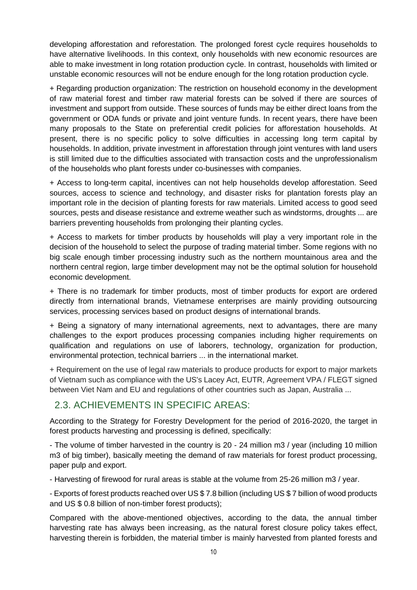developing afforestation and reforestation. The prolonged forest cycle requires households to have alternative livelihoods. In this context, only households with new economic resources are able to make investment in long rotation production cycle. In contrast, households with limited or unstable economic resources will not be endure enough for the long rotation production cycle.

+ Regarding production organization: The restriction on household economy in the development of raw material forest and timber raw material forests can be solved if there are sources of investment and support from outside. These sources of funds may be either direct loans from the government or ODA funds or private and joint venture funds. In recent years, there have been many proposals to the State on preferential credit policies for afforestation households. At present, there is no specific policy to solve difficulties in accessing long term capital by households. In addition, private investment in afforestation through joint ventures with land users is still limited due to the difficulties associated with transaction costs and the unprofessionalism of the households who plant forests under co-businesses with companies.

+ Access to long-term capital, incentives can not help households develop afforestation. Seed sources, access to science and technology, and disaster risks for plantation forests play an important role in the decision of planting forests for raw materials. Limited access to good seed sources, pests and disease resistance and extreme weather such as windstorms, droughts ... are barriers preventing households from prolonging their planting cycles.

+ Access to markets for timber products by households will play a very important role in the decision of the household to select the purpose of trading material timber. Some regions with no big scale enough timber processing industry such as the northern mountainous area and the northern central region, large timber development may not be the optimal solution for household economic development.

+ There is no trademark for timber products, most of timber products for export are ordered directly from international brands, Vietnamese enterprises are mainly providing outsourcing services, processing services based on product designs of international brands.

+ Being a signatory of many international agreements, next to advantages, there are many challenges to the export produces processing companies including higher requirements on qualification and regulations on use of laborers, technology, organization for production, environmental protection, technical barriers ... in the international market.

+ Requirement on the use of legal raw materials to produce products for export to major markets of Vietnam such as compliance with the US's Lacey Act, EUTR, Agreement VPA / FLEGT signed between Viet Nam and EU and regulations of other countries such as Japan, Australia ...

### 2.3. ACHIEVEMENTS IN SPECIFIC AREAS:

According to the Strategy for Forestry Development for the period of 2016-2020, the target in forest products harvesting and processing is defined, specifically:

- The volume of timber harvested in the country is 20 - 24 million m3 / year (including 10 million m3 of big timber), basically meeting the demand of raw materials for forest product processing, paper pulp and export.

- Harvesting of firewood for rural areas is stable at the volume from 25-26 million m3 / year.

- Exports of forest products reached over US \$ 7.8 billion (including US \$ 7 billion of wood products and US \$ 0.8 billion of non-timber forest products);

Compared with the above-mentioned objectives, according to the data, the annual timber harvesting rate has always been increasing, as the natural forest closure policy takes effect, harvesting therein is forbidden, the material timber is mainly harvested from planted forests and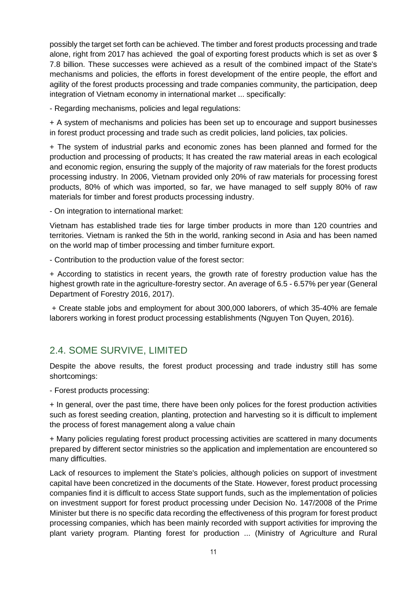possibly the target set forth can be achieved. The timber and forest products processing and trade alone, right from 2017 has achieved the goal of exporting forest products which is set as over \$ 7.8 billion. These successes were achieved as a result of the combined impact of the State's mechanisms and policies, the efforts in forest development of the entire people, the effort and agility of the forest products processing and trade companies community, the participation, deep integration of Vietnam economy in international market ... specifically:

- Regarding mechanisms, policies and legal regulations:

+ A system of mechanisms and policies has been set up to encourage and support businesses in forest product processing and trade such as credit policies, land policies, tax policies.

+ The system of industrial parks and economic zones has been planned and formed for the production and processing of products; It has created the raw material areas in each ecological and economic region, ensuring the supply of the majority of raw materials for the forest products processing industry. In 2006, Vietnam provided only 20% of raw materials for processing forest products, 80% of which was imported, so far, we have managed to self supply 80% of raw materials for timber and forest products processing industry.

- On integration to international market:

Vietnam has established trade ties for large timber products in more than 120 countries and territories. Vietnam is ranked the 5th in the world, ranking second in Asia and has been named on the world map of timber processing and timber furniture export.

- Contribution to the production value of the forest sector:

+ According to statistics in recent years, the growth rate of forestry production value has the highest growth rate in the agriculture-forestry sector. An average of 6.5 - 6.57% per year (General Department of Forestry 2016, 2017).

+ Create stable jobs and employment for about 300,000 laborers, of which 35-40% are female laborers working in forest product processing establishments (Nguyen Ton Quyen, 2016).

### 2.4. SOME SURVIVE, LIMITED

Despite the above results, the forest product processing and trade industry still has some shortcomings:

- Forest products processing:

+ In general, over the past time, there have been only polices for the forest production activities such as forest seeding creation, planting, protection and harvesting so it is difficult to implement the process of forest management along a value chain

+ Many policies regulating forest product processing activities are scattered in many documents prepared by different sector ministries so the application and implementation are encountered so many difficulties.

Lack of resources to implement the State's policies, although policies on support of investment capital have been concretized in the documents of the State. However, forest product processing companies find it is difficult to access State support funds, such as the implementation of policies on investment support for forest product processing under Decision No. 147/2008 of the Prime Minister but there is no specific data recording the effectiveness of this program for forest product processing companies, which has been mainly recorded with support activities for improving the plant variety program. Planting forest for production ... (Ministry of Agriculture and Rural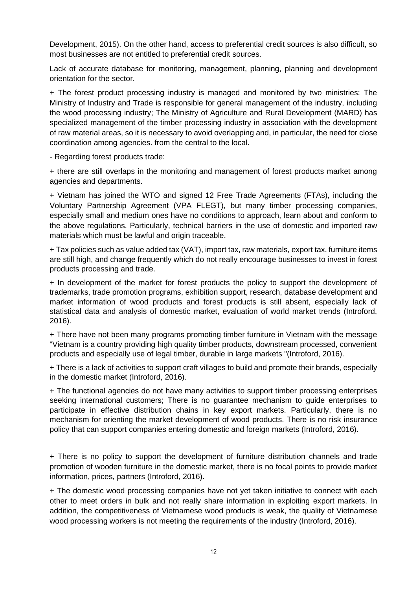Development, 2015). On the other hand, access to preferential credit sources is also difficult, so most businesses are not entitled to preferential credit sources.

Lack of accurate database for monitoring, management, planning, planning and development orientation for the sector.

+ The forest product processing industry is managed and monitored by two ministries: The Ministry of Industry and Trade is responsible for general management of the industry, including the wood processing industry; The Ministry of Agriculture and Rural Development (MARD) has specialized management of the timber processing industry in association with the development of raw material areas, so it is necessary to avoid overlapping and, in particular, the need for close coordination among agencies. from the central to the local.

- Regarding forest products trade:

+ there are still overlaps in the monitoring and management of forest products market among agencies and departments.

+ Vietnam has joined the WTO and signed 12 Free Trade Agreements (FTAs), including the Voluntary Partnership Agreement (VPA FLEGT), but many timber processing companies, especially small and medium ones have no conditions to approach, learn about and conform to the above regulations. Particularly, technical barriers in the use of domestic and imported raw materials which must be lawful and origin traceable.

+ Tax policies such as value added tax (VAT), import tax, raw materials, export tax, furniture items are still high, and change frequently which do not really encourage businesses to invest in forest products processing and trade.

+ In development of the market for forest products the policy to support the development of trademarks, trade promotion programs, exhibition support, research, database development and market information of wood products and forest products is still absent, especially lack of statistical data and analysis of domestic market, evaluation of world market trends (Introford, 2016).

+ There have not been many programs promoting timber furniture in Vietnam with the message "Vietnam is a country providing high quality timber products, downstream processed, convenient products and especially use of legal timber, durable in large markets "(Introford, 2016).

+ There is a lack of activities to support craft villages to build and promote their brands, especially in the domestic market (Introford, 2016).

+ The functional agencies do not have many activities to support timber processing enterprises seeking international customers; There is no guarantee mechanism to guide enterprises to participate in effective distribution chains in key export markets. Particularly, there is no mechanism for orienting the market development of wood products. There is no risk insurance policy that can support companies entering domestic and foreign markets (Introford, 2016).

+ There is no policy to support the development of furniture distribution channels and trade promotion of wooden furniture in the domestic market, there is no focal points to provide market information, prices, partners (Introford, 2016).

+ The domestic wood processing companies have not yet taken initiative to connect with each other to meet orders in bulk and not really share information in exploiting export markets. In addition, the competitiveness of Vietnamese wood products is weak, the quality of Vietnamese wood processing workers is not meeting the requirements of the industry (Introford, 2016).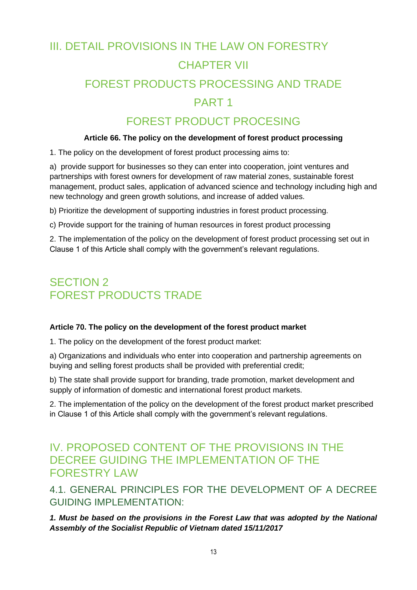# III. DETAIL PROVISIONS IN THE LAW ON FORESTRY CHAPTER VII FOREST PRODUCTS PROCESSING AND TRADE PART 1

### FOREST PRODUCT PROCESING

#### **Article 66. The policy on the development of forest product processing**

1. The policy on the development of forest product processing aims to:

a) provide support for businesses so they can enter into cooperation, joint ventures and partnerships with forest owners for development of raw material zones, sustainable forest management, product sales, application of advanced science and technology including high and new technology and green growth solutions, and increase of added values.

b) Prioritize the development of supporting industries in forest product processing.

c) Provide support for the training of human resources in forest product processing

2. The implementation of the policy on the development of forest product processing set out in Clause 1 of this Article shall comply with the government's relevant regulations.

### SECTION 2 FOREST PRODUCTS TRADE

#### **Article 70. The policy on the development of the forest product market**

1. The policy on the development of the forest product market:

a) Organizations and individuals who enter into cooperation and partnership agreements on buying and selling forest products shall be provided with preferential credit;

b) The state shall provide support for branding, trade promotion, market development and supply of information of domestic and international forest product markets.

2. The implementation of the policy on the development of the forest product market prescribed in Clause 1 of this Article shall comply with the government's relevant regulations.

### IV. PROPOSED CONTENT OF THE PROVISIONS IN THE DECREE GUIDING THE IMPLEMENTATION OF THE FORESTRY LAW

4.1. GENERAL PRINCIPLES FOR THE DEVELOPMENT OF A DECREE GUIDING IMPLEMENTATION:

*1. Must be based on the provisions in the Forest Law that was adopted by the National Assembly of the Socialist Republic of Vietnam dated 15/11/2017*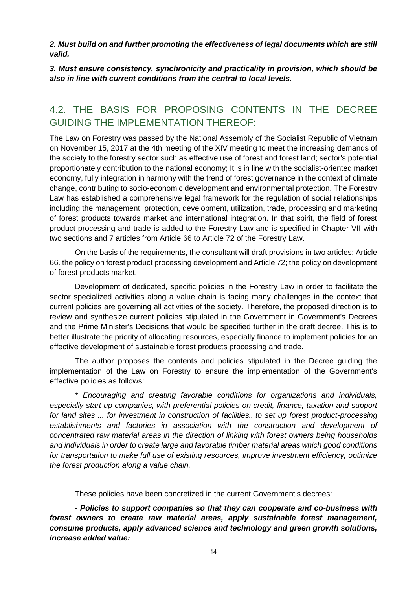*2. Must build on and further promoting the effectiveness of legal documents which are still valid.*

*3. Must ensure consistency, synchronicity and practicality in provision, which should be also in line with current conditions from the central to local levels.*

### 4.2. THE BASIS FOR PROPOSING CONTENTS IN THE DECREE GUIDING THE IMPLEMENTATION THEREOF:

The Law on Forestry was passed by the National Assembly of the Socialist Republic of Vietnam on November 15, 2017 at the 4th meeting of the XIV meeting to meet the increasing demands of the society to the forestry sector such as effective use of forest and forest land; sector's potential proportionately contribution to the national economy; It is in line with the socialist-oriented market economy, fully integration in harmony with the trend of forest governance in the context of climate change, contributing to socio-economic development and environmental protection. The Forestry Law has established a comprehensive legal framework for the regulation of social relationships including the management, protection, development, utilization, trade, processing and marketing of forest products towards market and international integration. In that spirit, the field of forest product processing and trade is added to the Forestry Law and is specified in Chapter VII with two sections and 7 articles from Article 66 to Article 72 of the Forestry Law.

On the basis of the requirements, the consultant will draft provisions in two articles: Article 66. the policy on forest product processing development and Article 72; the policy on development of forest products market.

Development of dedicated, specific policies in the Forestry Law in order to facilitate the sector specialized activities along a value chain is facing many challenges in the context that current policies are governing all activities of the society. Therefore, the proposed direction is to review and synthesize current policies stipulated in the Government in Government's Decrees and the Prime Minister's Decisions that would be specified further in the draft decree. This is to better illustrate the priority of allocating resources, especially finance to implement policies for an effective development of sustainable forest products processing and trade.

The author proposes the contents and policies stipulated in the Decree guiding the implementation of the Law on Forestry to ensure the implementation of the Government's effective policies as follows:

*\* Encouraging and creating favorable conditions for organizations and individuals, especially start-up companies, with preferential policies on credit, finance, taxation and support for land sites ... for investment in construction of facilities...to set up forest product-processing*  establishments and factories in association with the construction and development of *concentrated raw material areas in the direction of linking with forest owners being households and individuals in order to create large and favorable timber material areas which good conditions for transportation to make full use of existing resources, improve investment efficiency, optimize the forest production along a value chain.* 

These policies have been concretized in the current Government's decrees:

*- Policies to support companies so that they can cooperate and co-business with forest owners to create raw material areas, apply sustainable forest management, consume products, apply advanced science and technology and green growth solutions, increase added value:*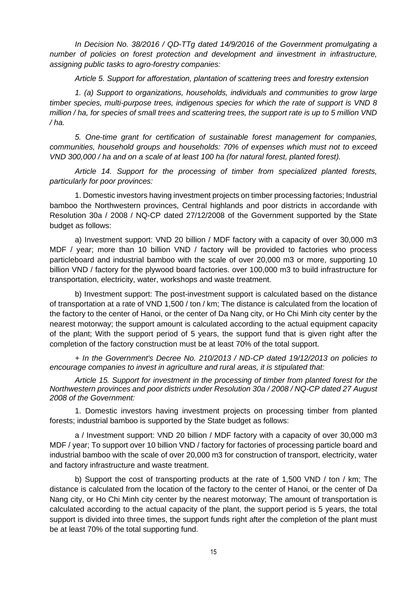*In Decision No. 38/2016 / QD-TTg dated 14/9/2016 of the Government promulgating a number of policies on forest protection and development and iinvestment in infrastructure, assigning public tasks to agro-forestry companies:*

*Article 5. Support for afforestation, plantation of scattering trees and forestry extension*

*1. (a) Support to organizations, households, individuals and communities to grow large timber species, multi-purpose trees, indigenous species for which the rate of support is VND 8 million / ha, for species of small trees and scattering trees, the support rate is up to 5 million VND / ha.* 

*5. One-time grant for certification of sustainable forest management for companies, communities, household groups and households: 70% of expenses which must not to exceed VND 300,000 / ha and on a scale of at least 100 ha (for natural forest, planted forest).*

*Article 14. Support for the processing of timber from specialized planted forests, particularly for poor provinces:*

1. Domestic investors having investment projects on timber processing factories; Industrial bamboo the Northwestern provinces, Central highlands and poor districts in accordande with Resolution 30a / 2008 / NQ-CP dated 27/12/2008 of the Government supported by the State budget as follows:

a) Investment support: VND 20 billion / MDF factory with a capacity of over 30,000 m3 MDF / year; more than 10 billion VND / factory will be provided to factories who process particleboard and industrial bamboo with the scale of over 20,000 m3 or more, supporting 10 billion VND / factory for the plywood board factories. over 100,000 m3 to build infrastructure for transportation, electricity, water, workshops and waste treatment.

b) Investment support: The post-investment support is calculated based on the distance of transportation at a rate of VND 1,500 / ton / km; The distance is calculated from the location of the factory to the center of Hanoi, or the center of Da Nang city, or Ho Chi Minh city center by the nearest motorway; the support amount is calculated according to the actual equipment capacity of the plant; With the support period of 5 years, the support fund that is given right after the completion of the factory construction must be at least 70% of the total support.

*+ In the Government's Decree No. 210/2013 / ND-CP dated 19/12/2013 on policies to encourage companies to invest in agriculture and rural areas, it is stipulated that:* 

*Article 15. Support for investment in the processing of timber from planted forest for the Northwestern provinces and poor districts under Resolution 30a / 2008 / NQ-CP dated 27 August 2008 of the Government:*

1. Domestic investors having investment projects on processing timber from planted forests; industrial bamboo is supported by the State budget as follows:

a / Investment support: VND 20 billion / MDF factory with a capacity of over 30,000 m3 MDF / year; To support over 10 billion VND / factory for factories of processing particle board and industrial bamboo with the scale of over 20,000 m3 for construction of transport, electricity, water and factory infrastructure and waste treatment.

b) Support the cost of transporting products at the rate of 1,500 VND / ton / km; The distance is calculated from the location of the factory to the center of Hanoi, or the center of Da Nang city, or Ho Chi Minh city center by the nearest motorway; The amount of transportation is calculated according to the actual capacity of the plant, the support period is 5 years, the total support is divided into three times, the support funds right after the completion of the plant must be at least 70% of the total supporting fund.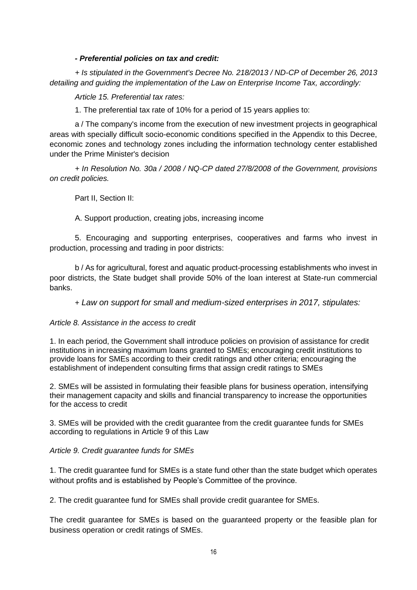#### *- Preferential policies on tax and credit:*

*+ Is stipulated in the Government's Decree No. 218/2013 / ND-CP of December 26, 2013 detailing and guiding the implementation of the Law on Enterprise Income Tax, accordingly:*

*Article 15. Preferential tax rates:*

1. The preferential tax rate of 10% for a period of 15 years applies to:

a / The company's income from the execution of new investment projects in geographical areas with specially difficult socio-economic conditions specified in the Appendix to this Decree, economic zones and technology zones including the information technology center established under the Prime Minister's decision

*+ In Resolution No. 30a / 2008 / NQ-CP dated 27/8/2008 of the Government, provisions on credit policies.* 

Part II, Section II:

A. Support production, creating jobs, increasing income

5. Encouraging and supporting enterprises, cooperatives and farms who invest in production, processing and trading in poor districts:

b / As for agricultural, forest and aquatic product-processing establishments who invest in poor districts, the State budget shall provide 50% of the loan interest at State-run commercial banks.

+ *Law on support for small and medium-sized enterprises in 2017, stipulates:*

#### *Article 8. Assistance in the access to credit*

1. In each period, the Government shall introduce policies on provision of assistance for credit institutions in increasing maximum loans granted to SMEs; encouraging credit institutions to provide loans for SMEs according to their credit ratings and other criteria; encouraging the establishment of independent consulting firms that assign credit ratings to SMEs

2. SMEs will be assisted in formulating their feasible plans for business operation, intensifying their management capacity and skills and financial transparency to increase the opportunities for the access to credit

3. SMEs will be provided with the credit guarantee from the credit guarantee funds for SMEs according to regulations in Article 9 of this Law

#### *Article 9. Credit guarantee funds for SMEs*

1. The credit guarantee fund for SMEs is a state fund other than the state budget which operates without profits and is established by People's Committee of the province.

2. The credit guarantee fund for SMEs shall provide credit guarantee for SMEs.

The credit guarantee for SMEs is based on the guaranteed property or the feasible plan for business operation or credit ratings of SMEs.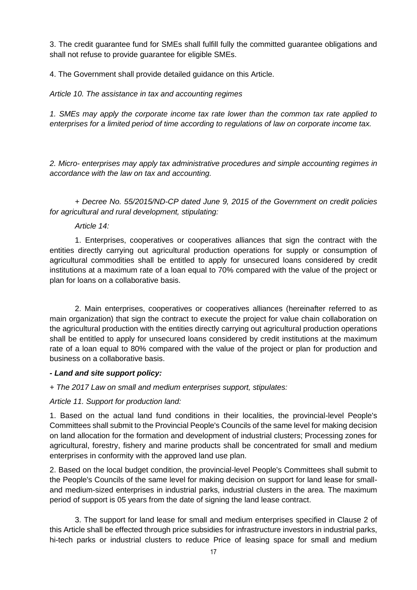3. The credit guarantee fund for SMEs shall fulfill fully the committed guarantee obligations and shall not refuse to provide guarantee for eligible SMEs.

4. The Government shall provide detailed guidance on this Article.

### *Article 10. The assistance in tax and accounting regimes*

*1. SMEs may apply the corporate income tax rate lower than the common tax rate applied to enterprises for a limited period of time according to regulations of law on corporate income tax.*

*2. Micro- enterprises may apply tax administrative procedures and simple accounting regimes in accordance with the law on tax and accounting.*

*+ Decree No. 55/2015/ND-CP dated June 9, 2015 of the Government on credit policies for agricultural and rural development, stipulating:*

#### *Article 14:*

1. Enterprises, cooperatives or cooperatives alliances that sign the contract with the entities directly carrying out agricultural production operations for supply or consumption of agricultural commodities shall be entitled to apply for unsecured loans considered by credit institutions at a maximum rate of a loan equal to 70% compared with the value of the project or plan for loans on a collaborative basis.

2. Main enterprises, cooperatives or cooperatives alliances (hereinafter referred to as main organization) that sign the contract to execute the project for value chain collaboration on the agricultural production with the entities directly carrying out agricultural production operations shall be entitled to apply for unsecured loans considered by credit institutions at the maximum rate of a loan equal to 80% compared with the value of the project or plan for production and business on a collaborative basis.

#### *- Land and site support policy:*

#### *+ The 2017 Law on small and medium enterprises support, stipulates:*

#### *Article 11. Support for production land:*

1. Based on the actual land fund conditions in their localities, the provincial-level People's Committees shall submit to the Provincial People's Councils of the same level for making decision on land allocation for the formation and development of industrial clusters; Processing zones for agricultural, forestry, fishery and marine products shall be concentrated for small and medium enterprises in conformity with the approved land use plan.

2. Based on the local budget condition, the provincial-level People's Committees shall submit to the People's Councils of the same level for making decision on support for land lease for smalland medium-sized enterprises in industrial parks, industrial clusters in the area. The maximum period of support is 05 years from the date of signing the land lease contract.

3. The support for land lease for small and medium enterprises specified in Clause 2 of this Article shall be effected through price subsidies for infrastructure investors in industrial parks, hi-tech parks or industrial clusters to reduce Price of leasing space for small and medium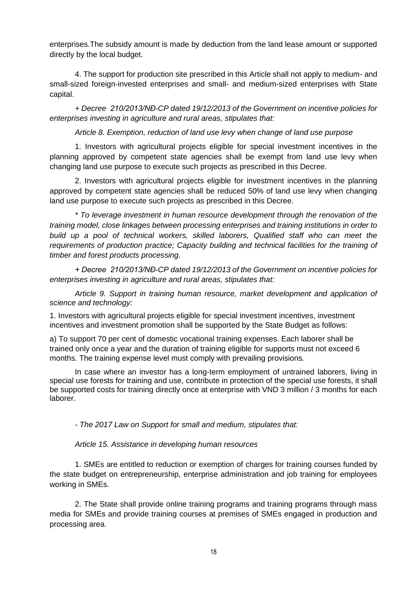enterprises.The subsidy amount is made by deduction from the land lease amount or supported directly by the local budget.

4. The support for production site prescribed in this Article shall not apply to medium- and small-sized foreign-invested enterprises and small- and medium-sized enterprises with State capital.

*+ Decree 210/2013/NĐ-CP dated 19/12/2013 of the Government on incentive policies for enterprises investing in agriculture and rural areas, stipulates that:*

*Article 8. Exemption, reduction of land use levy when change of land use purpose*

1. Investors with agricultural projects eligible for special investment incentives in the planning approved by competent state agencies shall be exempt from land use levy when changing land use purpose to execute such projects as prescribed in this Decree.

2. Investors with agricultural projects eligible for investment incentives in the planning approved by competent state agencies shall be reduced 50% of land use levy when changing land use purpose to execute such projects as prescribed in this Decree.

*\* To leverage investment in human resource development through the renovation of the training model, close linkages between processing enterprises and training institutions in order to build up a pool of technical workers, skilled laborers, Qualified staff who can meet the requirements of production practice; Capacity building and technical facilities for the training of timber and forest products processing.* 

*+ Decree 210/2013/NĐ-CP dated 19/12/2013 of the Government on incentive policies for enterprises investing in agriculture and rural areas, stipulates that:*

*Article 9. Support in training human resource, market development and application of science and technology:*

1. Investors with agricultural projects eligible for special investment incentives, investment incentives and investment promotion shall be supported by the State Budget as follows:

a) To support 70 per cent of domestic vocational training expenses. Each laborer shall be trained only once a year and the duration of training eligible for supports must not exceed 6 months. The training expense level must comply with prevailing provisions.

In case where an investor has a long-term employment of untrained laborers, living in special use forests for training and use, contribute in protection of the special use forests, it shall be supported costs for training directly once at enterprise with VND 3 million / 3 months for each laborer.

*- The 2017 Law on Support for small and medium, stipulates that:*

#### *Article 15. Assistance in developing human resources*

1. SMEs are entitled to reduction or exemption of charges for training courses funded by the state budget on entrepreneurship, enterprise administration and job training for employees working in SMEs.

2. The State shall provide online training programs and training programs through mass media for SMEs and provide training courses at premises of SMEs engaged in production and processing area.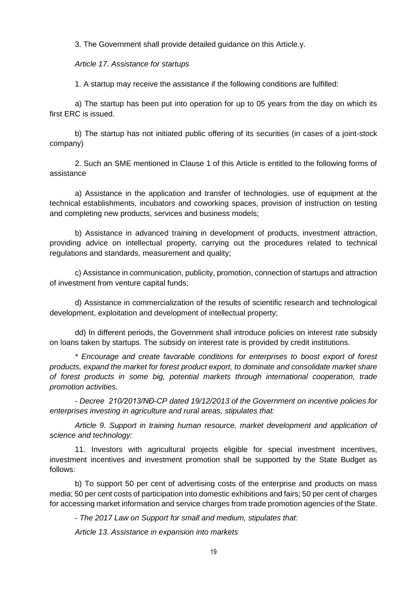3. The Government shall provide detailed guidance on this Article.y.

*Article 17. Assistance for startups* 

1. A startup may receive the assistance if the following conditions are fulfilled:

a) The startup has been put into operation for up to 05 years from the day on which its first ERC is issued.

b) The startup has not initiated public offering of its securities (in cases of a joint-stock company)

2. Such an SME mentioned in Clause 1 of this Article is entitled to the following forms of assistance

a) Assistance in the application and transfer of technologies, use of equipment at the technical establishments, incubators and coworking spaces, provision of instruction on testing and completing new products, services and business models;

b) Assistance in advanced training in development of products, investment attraction, providing advice on intellectual property, carrying out the procedures related to technical regulations and standards, measurement and quality;

c) Assistance in communication, publicity, promotion, connection of startups and attraction of investment from venture capital funds;

d) Assistance in commercialization of the results of scientific research and technological development, exploitation and development of intellectual property;

dd) In different periods, the Government shall introduce policies on interest rate subsidy on loans taken by startups. The subsidy on interest rate is provided by credit institutions.

*\* Encourage and create favorable conditions for enterprises to boost export of forest products, expand the market for forest product export, to dominate and consolidate market share of forest products in some big, potential markets through international cooperation, trade promotion activities.*

*- Decree 210/2013/NĐ-CP dated 19/12/2013 of the Government on incentive policies for enterprises investing in agriculture and rural areas, stipulates that:*

*Article 9. Support in training human resource, market development and application of science and technology:*

11. Investors with agricultural projects eligible for special investment incentives, investment incentives and investment promotion shall be supported by the State Budget as follows:

b) To support 50 per cent of advertising costs of the enterprise and products on mass media; 50 per cent costs of participation into domestic exhibitions and fairs; 50 per cent of charges for accessing market information and service charges from trade promotion agencies of the State.

*- The 2017 Law on Support for small and medium, stipulates that:*

*Article 13. Assistance in expansion into markets*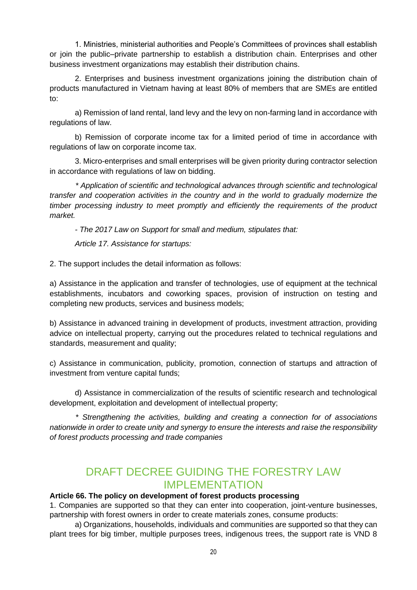1. Ministries, ministerial authorities and People's Committees of provinces shall establish or join the public–private partnership to establish a distribution chain. Enterprises and other business investment organizations may establish their distribution chains.

2. Enterprises and business investment organizations joining the distribution chain of products manufactured in Vietnam having at least 80% of members that are SMEs are entitled to:

a) Remission of land rental, land levy and the levy on non-farming land in accordance with regulations of law.

b) Remission of corporate income tax for a limited period of time in accordance with regulations of law on corporate income tax.

3. Micro-enterprises and small enterprises will be given priority during contractor selection in accordance with regulations of law on bidding.

*\* Application of scientific and technological advances through scientific and technological transfer and cooperation activities in the country and in the world to gradually modernize the timber processing industry to meet promptly and efficiently the requirements of the product market.*

*- The 2017 Law on Support for small and medium, stipulates that:*

*Article 17. Assistance for startups:*

2. The support includes the detail information as follows:

a) Assistance in the application and transfer of technologies, use of equipment at the technical establishments, incubators and coworking spaces, provision of instruction on testing and completing new products, services and business models;

b) Assistance in advanced training in development of products, investment attraction, providing advice on intellectual property, carrying out the procedures related to technical regulations and standards, measurement and quality;

c) Assistance in communication, publicity, promotion, connection of startups and attraction of investment from venture capital funds;

d) Assistance in commercialization of the results of scientific research and technological development, exploitation and development of intellectual property;

*\* Strengthening the activities, building and creating a connection for of associations nationwide in order to create unity and synergy to ensure the interests and raise the responsibility of forest products processing and trade companies*

### DRAFT DECREE GUIDING THE FORESTRY LAW IMPLEMENTATION

### **Article 66. The policy on development of forest products processing**

1. Companies are supported so that they can enter into cooperation, joint-venture businesses, partnership with forest owners in order to create materials zones, consume products:

a) Organizations, households, individuals and communities are supported so that they can plant trees for big timber, multiple purposes trees, indigenous trees, the support rate is VND 8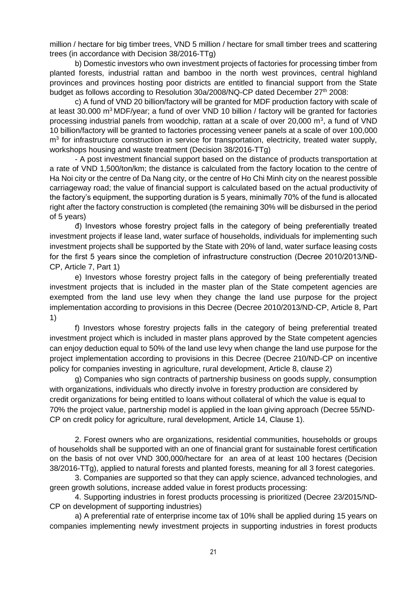million / hectare for big timber trees, VND 5 million / hectare for small timber trees and scattering trees (in accordance with Decision 38/2016-TTg)

b) Domestic investors who own investment projects of factories for processing timber from planted forests, industrial rattan and bamboo in the north west provinces, central highland provinces and provinces hosting poor districts are entitled to financial support from the State budget as follows according to Resolution 30a/2008/NQ-CP dated December 27<sup>th</sup> 2008:

c) A fund of VND 20 billion/factory will be granted for MDF production factory with scale of at least 30.000 m<sup>3</sup> MDF/year; a fund of over VND 10 billion / factory will be granted for factories processing industrial panels from woodchip, rattan at a scale of over 20,000 m<sup>3</sup>, a fund of VND 10 billion/factory will be granted to factories processing veneer panels at a scale of over 100,000 m<sup>3</sup> for infrastructure construction in service for transportation, electricity, treated water supply, workshops housing and waste treatment (Decision 38/2016-TTg)

- A post investment financial support based on the distance of products transportation at a rate of VND 1,500/ton/km; the distance is calculated from the factory location to the centre of Ha Noi city or the centre of Da Nang city, or the centre of Ho Chi Minh city on the nearest possible carriageway road; the value of financial support is calculated based on the actual productivity of the factory's equipment, the supporting duration is 5 years, minimally 70% of the fund is allocated right after the factory construction is completed (the remaining 30% will be disbursed in the period of 5 years)

đ) Investors whose forestry project falls in the category of being preferentially treated investment projects if lease land, water surface of households, individuals for implementing such investment projects shall be supported by the State with 20% of land, water surface leasing costs for the first 5 years since the completion of infrastructure construction (Decree 2010/2013/NĐ-CP, Article 7, Part 1)

e) Investors whose forestry project falls in the category of being preferentially treated investment projects that is included in the master plan of the State competent agencies are exempted from the land use levy when they change the land use purpose for the project implementation according to provisions in this Decree (Decree 2010/2013/ND-CP, Article 8, Part 1)

f) Investors whose forestry projects falls in the category of being preferential treated investment project which is included in master plans approved by the State competent agencies can enjoy deduction equal to 50% of the land use levy when change the land use purpose for the project implementation according to provisions in this Decree (Decree 210/ND-CP on incentive policy for companies investing in agriculture, rural development, Article 8, clause 2)

g) Companies who sign contracts of partnership business on goods supply, consumption with organizations, individuals who directly involve in forestry production are considered by credit organizations for being entitled to loans without collateral of which the value is equal to 70% the project value, partnership model is applied in the loan giving approach (Decree 55/ND-CP on credit policy for agriculture, rural development, Article 14, Clause 1).

2. Forest owners who are organizations, residential communities, households or groups of households shall be supported with an one of financial grant for sustainable forest certification on the basis of not over VND 300,000/hectare for an area of at least 100 hectares (Decision 38/2016-TTg), applied to natural forests and planted forests, meaning for all 3 forest categories.

3. Companies are supported so that they can apply science, advanced technologies, and green growth solutions, increase added value in forest products processing:

4. Supporting industries in forest products processing is prioritized (Decree 23/2015/ND-CP on development of supporting industries)

a) A preferential rate of enterprise income tax of 10% shall be applied during 15 years on companies implementing newly investment projects in supporting industries in forest products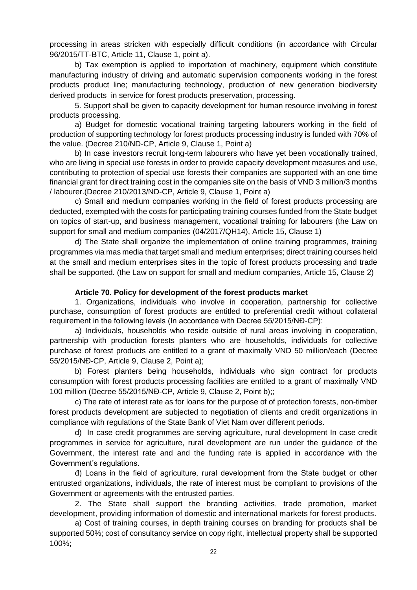processing in areas stricken with especially difficult conditions (in accordance with Circular 96/2015/TT-BTC, Article 11, Clause 1, point a).

b) Tax exemption is applied to importation of machinery, equipment which constitute manufacturing industry of driving and automatic supervision components working in the forest products product line; manufacturing technology, production of new generation biodiversity derived products in service for forest products preservation, processing.

5. Support shall be given to capacity development for human resource involving in forest products processing.

a) Budget for domestic vocational training targeting labourers working in the field of production of supporting technology for forest products processing industry is funded with 70% of the value. (Decree 210/ND-CP, Article 9, Clause 1, Point a)

b) In case investors recruit long-term labourers who have yet been vocationally trained, who are living in special use forests in order to provide capacity development measures and use, contributing to protection of special use forests their companies are supported with an one time financial grant for direct training cost in the companies site on the basis of VND 3 million/3 months / labourer.(Decree 210/2013/ND-CP, Article 9, Clause 1, Point a)

c) Small and medium companies working in the field of forest products processing are deducted, exempted with the costs for participating training courses funded from the State budget on topics of start-up, and business management, vocational training for labourers (the Law on support for small and medium companies (04/2017/QH14), Article 15, Clause 1)

d) The State shall organize the implementation of online training programmes, training programmes via mas media that target small and medium enterprises; direct training courses held at the small and medium enterprises sites in the topic of forest products processing and trade shall be supported. (the Law on support for small and medium companies, Article 15, Clause 2)

#### **Article 70. Policy for development of the forest products market**

1. Organizations, individuals who involve in cooperation, partnership for collective purchase, consumption of forest products are entitled to preferential credit without collateral requirement in the following levels (In accordance with Decree 55/2015/NĐ-CP):

a) Individuals, households who reside outside of rural areas involving in cooperation, partnership with production forests planters who are households, individuals for collective purchase of forest products are entitled to a grant of maximally VND 50 million/each (Decree 55/2015/NĐ-CP, Article 9, Clause 2, Point a);

b) Forest planters being households, individuals who sign contract for products consumption with forest products processing facilities are entitled to a grant of maximally VND 100 million (Decree 55/2015/NĐ-CP, Article 9, Clause 2, Point b);;

c) The rate of interest rate as for loans for the purpose of of protection forests, non-timber forest products development are subjected to negotiation of clients and credit organizations in compliance with regulations of the State Bank of Viet Nam over different periods.

d) In case credit programmes are serving agriculture, rural development In case credit programmes in service for agriculture, rural development are run under the guidance of the Government, the interest rate and and the funding rate is applied in accordance with the Government's regulations.

đ) Loans in the field of agriculture, rural development from the State budget or other entrusted organizations, individuals, the rate of interest must be compliant to provisions of the Government or agreements with the entrusted parties.

2. The State shall support the branding activities, trade promotion, market development, providing information of domestic and international markets for forest products.

a) Cost of training courses, in depth training courses on branding for products shall be supported 50%; cost of consultancy service on copy right, intellectual property shall be supported 100%;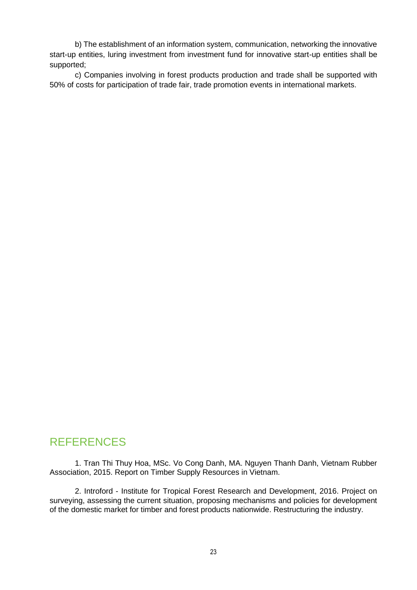b) The establishment of an information system, communication, networking the innovative start-up entities, luring investment from investment fund for innovative start-up entities shall be supported;

c) Companies involving in forest products production and trade shall be supported with 50% of costs for participation of trade fair, trade promotion events in international markets.

### REFERENCES

1. Tran Thi Thuy Hoa, MSc. Vo Cong Danh, MA. Nguyen Thanh Danh, Vietnam Rubber Association, 2015. Report on Timber Supply Resources in Vietnam.

2. Introford - Institute for Tropical Forest Research and Development, 2016. Project on surveying, assessing the current situation, proposing mechanisms and policies for development of the domestic market for timber and forest products nationwide. Restructuring the industry.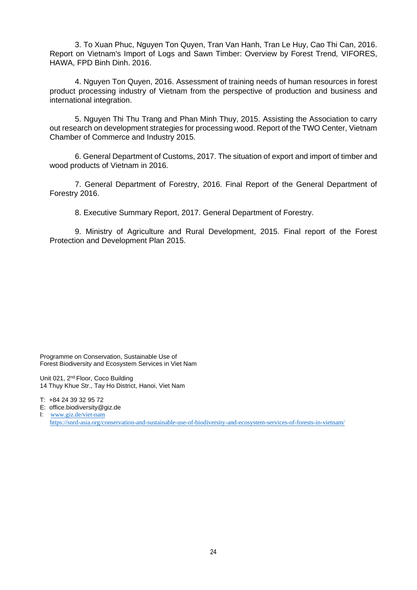3. To Xuan Phuc, Nguyen Ton Quyen, Tran Van Hanh, Tran Le Huy, Cao Thi Can, 2016. Report on Vietnam's Import of Logs and Sawn Timber: Overview by Forest Trend, VIFORES, HAWA, FPD Binh Dinh. 2016.

4. Nguyen Ton Quyen, 2016. Assessment of training needs of human resources in forest product processing industry of Vietnam from the perspective of production and business and international integration.

5. Nguyen Thi Thu Trang and Phan Minh Thuy, 2015. Assisting the Association to carry out research on development strategies for processing wood. Report of the TWO Center, Vietnam Chamber of Commerce and Industry 2015.

6. General Department of Customs, 2017. The situation of export and import of timber and wood products of Vietnam in 2016.

7. General Department of Forestry, 2016. Final Report of the General Department of Forestry 2016.

8. Executive Summary Report, 2017. General Department of Forestry.

9. Ministry of Agriculture and Rural Development, 2015. Final report of the Forest Protection and Development Plan 2015.

Programme on Conservation, Sustainable Use of Forest Biodiversity and Ecosystem Services in Viet Nam

Unit 021, 2<sup>nd</sup> Floor, Coco Building 14 Thụy Khue Str., Tay Ho District, Hanoi, Viet Nam

T: +84 24 39 32 95 72

E: office.biodiversity@giz.de

I: [www.giz.de/viet-nam](http://www.giz.de/viet-nam) <https://snrd-asia.org/conservation-and-sustainable-use-of-biodiversity-and-ecosystem-services-of-forests-in-vietnam/>